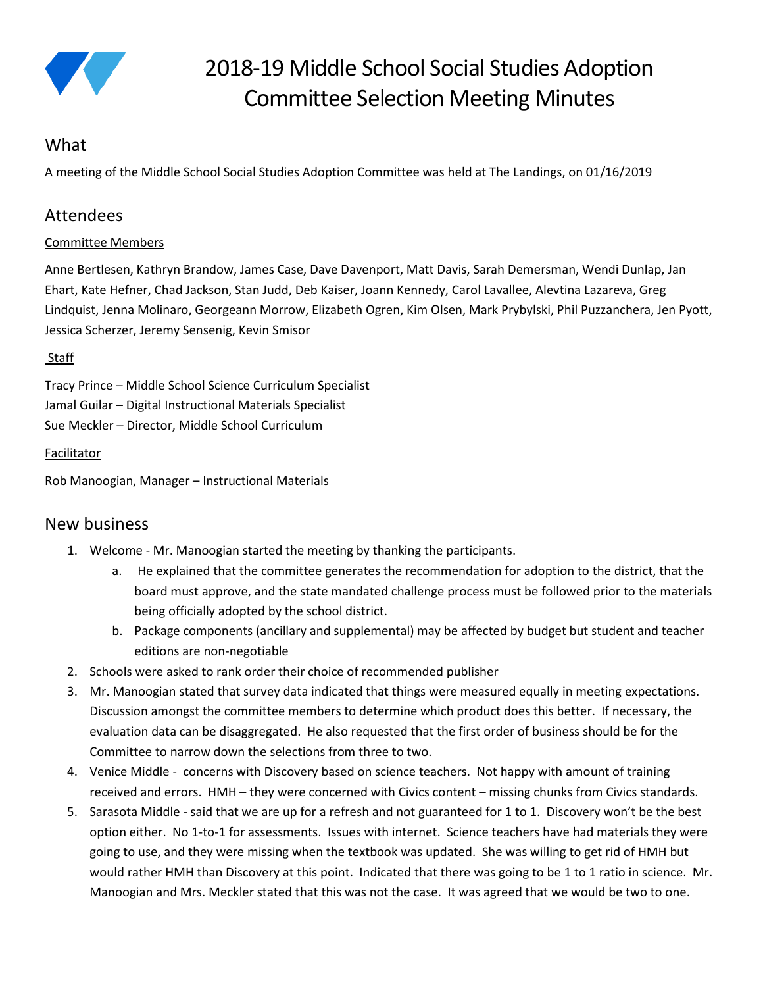

# 2018-19 Middle School Social Studies Adoption Committee Selection Meeting Minutes

## What

A meeting of the Middle School Social Studies Adoption Committee was held at The Landings, on 01/16/2019

## Attendees

#### Committee Members

Anne Bertlesen, Kathryn Brandow, James Case, Dave Davenport, Matt Davis, Sarah Demersman, Wendi Dunlap, Jan Ehart, Kate Hefner, Chad Jackson, Stan Judd, Deb Kaiser, Joann Kennedy, Carol Lavallee, Alevtina Lazareva, Greg Lindquist, Jenna Molinaro, Georgeann Morrow, Elizabeth Ogren, Kim Olsen, Mark Prybylski, Phil Puzzanchera, Jen Pyott, Jessica Scherzer, Jeremy Sensenig, Kevin Smisor

#### Staff

Tracy Prince – Middle School Science Curriculum Specialist Jamal Guilar – Digital Instructional Materials Specialist Sue Meckler – Director, Middle School Curriculum

#### Facilitator

Rob Manoogian, Manager – Instructional Materials

## New business

- 1. Welcome Mr. Manoogian started the meeting by thanking the participants.
	- a. He explained that the committee generates the recommendation for adoption to the district, that the board must approve, and the state mandated challenge process must be followed prior to the materials being officially adopted by the school district.
	- b. Package components (ancillary and supplemental) may be affected by budget but student and teacher editions are non-negotiable
- 2. Schools were asked to rank order their choice of recommended publisher
- 3. Mr. Manoogian stated that survey data indicated that things were measured equally in meeting expectations. Discussion amongst the committee members to determine which product does this better. If necessary, the evaluation data can be disaggregated. He also requested that the first order of business should be for the Committee to narrow down the selections from three to two.
- 4. Venice Middle concerns with Discovery based on science teachers. Not happy with amount of training received and errors. HMH – they were concerned with Civics content – missing chunks from Civics standards.
- 5. Sarasota Middle said that we are up for a refresh and not guaranteed for 1 to 1. Discovery won't be the best option either. No 1-to-1 for assessments. Issues with internet. Science teachers have had materials they were going to use, and they were missing when the textbook was updated. She was willing to get rid of HMH but would rather HMH than Discovery at this point. Indicated that there was going to be 1 to 1 ratio in science. Mr. Manoogian and Mrs. Meckler stated that this was not the case. It was agreed that we would be two to one.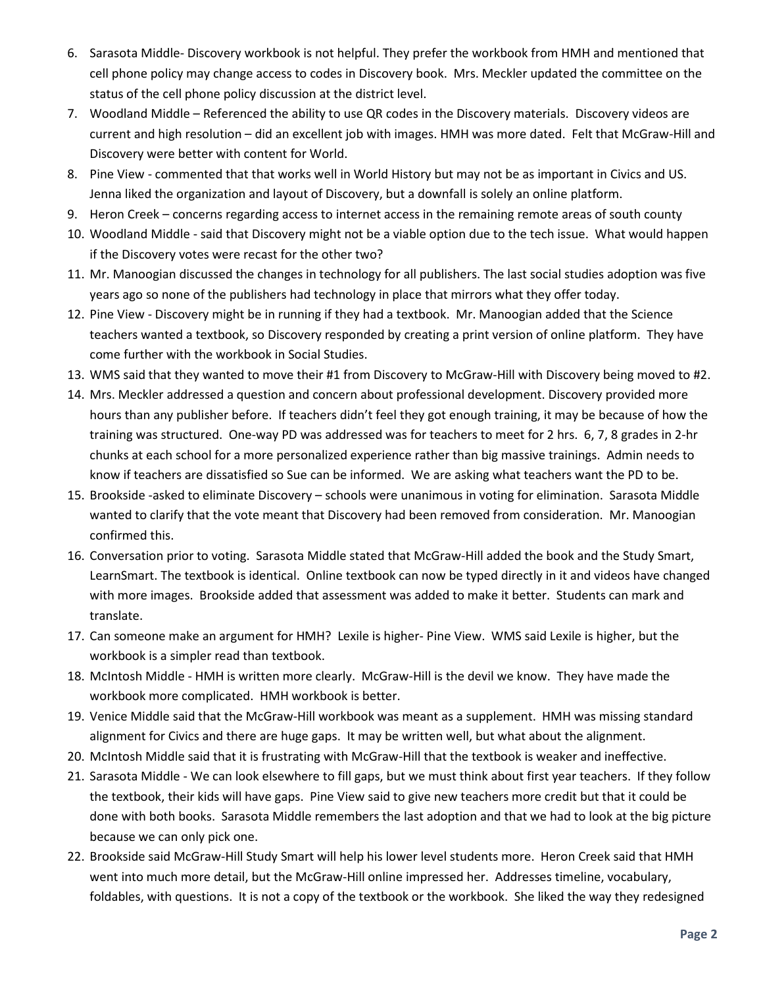- 6. Sarasota Middle- Discovery workbook is not helpful. They prefer the workbook from HMH and mentioned that cell phone policy may change access to codes in Discovery book. Mrs. Meckler updated the committee on the status of the cell phone policy discussion at the district level.
- 7. Woodland Middle Referenced the ability to use QR codes in the Discovery materials. Discovery videos are current and high resolution – did an excellent job with images. HMH was more dated. Felt that McGraw-Hill and Discovery were better with content for World.
- 8. Pine View commented that that works well in World History but may not be as important in Civics and US. Jenna liked the organization and layout of Discovery, but a downfall is solely an online platform.
- 9. Heron Creek concerns regarding access to internet access in the remaining remote areas of south county
- 10. Woodland Middle said that Discovery might not be a viable option due to the tech issue. What would happen if the Discovery votes were recast for the other two?
- 11. Mr. Manoogian discussed the changes in technology for all publishers. The last social studies adoption was five years ago so none of the publishers had technology in place that mirrors what they offer today.
- 12. Pine View Discovery might be in running if they had a textbook. Mr. Manoogian added that the Science teachers wanted a textbook, so Discovery responded by creating a print version of online platform. They have come further with the workbook in Social Studies.
- 13. WMS said that they wanted to move their #1 from Discovery to McGraw-Hill with Discovery being moved to #2.
- 14. Mrs. Meckler addressed a question and concern about professional development. Discovery provided more hours than any publisher before. If teachers didn't feel they got enough training, it may be because of how the training was structured. One-way PD was addressed was for teachers to meet for 2 hrs. 6, 7, 8 grades in 2-hr chunks at each school for a more personalized experience rather than big massive trainings. Admin needs to know if teachers are dissatisfied so Sue can be informed. We are asking what teachers want the PD to be.
- 15. Brookside -asked to eliminate Discovery schools were unanimous in voting for elimination. Sarasota Middle wanted to clarify that the vote meant that Discovery had been removed from consideration. Mr. Manoogian confirmed this.
- 16. Conversation prior to voting. Sarasota Middle stated that McGraw-Hill added the book and the Study Smart, LearnSmart. The textbook is identical. Online textbook can now be typed directly in it and videos have changed with more images. Brookside added that assessment was added to make it better. Students can mark and translate.
- 17. Can someone make an argument for HMH? Lexile is higher- Pine View. WMS said Lexile is higher, but the workbook is a simpler read than textbook.
- 18. McIntosh Middle HMH is written more clearly. McGraw-Hill is the devil we know. They have made the workbook more complicated. HMH workbook is better.
- 19. Venice Middle said that the McGraw-Hill workbook was meant as a supplement. HMH was missing standard alignment for Civics and there are huge gaps. It may be written well, but what about the alignment.
- 20. McIntosh Middle said that it is frustrating with McGraw-Hill that the textbook is weaker and ineffective.
- 21. Sarasota Middle We can look elsewhere to fill gaps, but we must think about first year teachers. If they follow the textbook, their kids will have gaps. Pine View said to give new teachers more credit but that it could be done with both books. Sarasota Middle remembers the last adoption and that we had to look at the big picture because we can only pick one.
- 22. Brookside said McGraw-Hill Study Smart will help his lower level students more. Heron Creek said that HMH went into much more detail, but the McGraw-Hill online impressed her. Addresses timeline, vocabulary, foldables, with questions. It is not a copy of the textbook or the workbook. She liked the way they redesigned